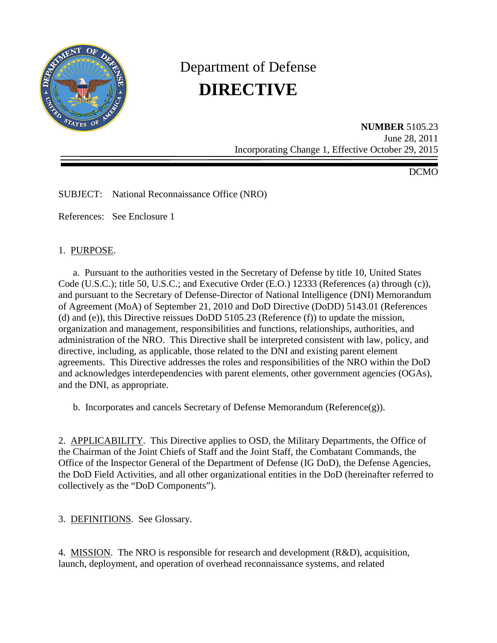

# Department of Defense **DIRECTIVE**

**NUMBER** 5105.23 June 28, 2011 Incorporating Change 1, Effective October 29, 2015

DCMO

SUBJECT: National Reconnaissance Office (NRO)

References: See Enclosure 1

## 1. PURPOSE.

a. Pursuant to the authorities vested in the Secretary of Defense by title 10, United States Code (U.S.C.); title 50, U.S.C.; and Executive Order (E.O.) 12333 (References (a) through (c)), and pursuant to the Secretary of Defense-Director of National Intelligence (DNI) Memorandum of Agreement (MoA) of September 21, 2010 and DoD Directive (DoDD) 5143.01 (References (d) and (e)), this Directive reissues DoDD 5105.23 (Reference (f)) to update the mission, organization and management, responsibilities and functions, relationships, authorities, and administration of the NRO. This Directive shall be interpreted consistent with law, policy, and directive, including, as applicable, those related to the DNI and existing parent element agreements. This Directive addresses the roles and responsibilities of the NRO within the DoD and acknowledges interdependencies with parent elements, other government agencies (OGAs), and the DNI, as appropriate.

b. Incorporates and cancels Secretary of Defense Memorandum ( $Reference(g)$ ).

2. APPLICABILITY. This Directive applies to OSD, the Military Departments, the Office of the Chairman of the Joint Chiefs of Staff and the Joint Staff, the Combatant Commands, the Office of the Inspector General of the Department of Defense (IG DoD), the Defense Agencies, the DoD Field Activities, and all other organizational entities in the DoD (hereinafter referred to collectively as the "DoD Components").

3. DEFINITIONS. See Glossary.

4. MISSION. The NRO is responsible for research and development (R&D), acquisition, launch, deployment, and operation of overhead reconnaissance systems, and related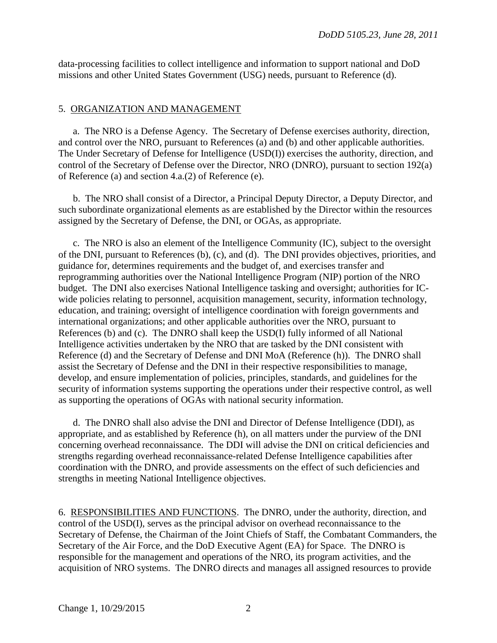data-processing facilities to collect intelligence and information to support national and DoD missions and other United States Government (USG) needs, pursuant to Reference (d).

## 5. ORGANIZATION AND MANAGEMENT

a. The NRO is a Defense Agency. The Secretary of Defense exercises authority, direction, and control over the NRO, pursuant to References (a) and (b) and other applicable authorities. The Under Secretary of Defense for Intelligence (USD(I)) exercises the authority, direction, and control of the Secretary of Defense over the Director, NRO (DNRO), pursuant to section 192(a) of Reference (a) and section 4.a.(2) of Reference (e).

b. The NRO shall consist of a Director, a Principal Deputy Director, a Deputy Director, and such subordinate organizational elements as are established by the Director within the resources assigned by the Secretary of Defense, the DNI, or OGAs, as appropriate.

c. The NRO is also an element of the Intelligence Community (IC), subject to the oversight of the DNI, pursuant to References (b), (c), and (d). The DNI provides objectives, priorities, and guidance for, determines requirements and the budget of, and exercises transfer and reprogramming authorities over the National Intelligence Program (NIP) portion of the NRO budget. The DNI also exercises National Intelligence tasking and oversight; authorities for ICwide policies relating to personnel, acquisition management, security, information technology, education, and training; oversight of intelligence coordination with foreign governments and international organizations; and other applicable authorities over the NRO, pursuant to References (b) and (c). The DNRO shall keep the USD(I) fully informed of all National Intelligence activities undertaken by the NRO that are tasked by the DNI consistent with Reference (d) and the Secretary of Defense and DNI MoA (Reference (h)). The DNRO shall assist the Secretary of Defense and the DNI in their respective responsibilities to manage, develop, and ensure implementation of policies, principles, standards, and guidelines for the security of information systems supporting the operations under their respective control, as well as supporting the operations of OGAs with national security information.

d. The DNRO shall also advise the DNI and Director of Defense Intelligence (DDI), as appropriate, and as established by Reference (h), on all matters under the purview of the DNI concerning overhead reconnaissance. The DDI will advise the DNI on critical deficiencies and strengths regarding overhead reconnaissance-related Defense Intelligence capabilities after coordination with the DNRO, and provide assessments on the effect of such deficiencies and strengths in meeting National Intelligence objectives.

6. RESPONSIBILITIES AND FUNCTIONS. The DNRO, under the authority, direction, and control of the USD(I), serves as the principal advisor on overhead reconnaissance to the Secretary of Defense, the Chairman of the Joint Chiefs of Staff, the Combatant Commanders, the Secretary of the Air Force, and the DoD Executive Agent (EA) for Space. The DNRO is responsible for the management and operations of the NRO, its program activities, and the acquisition of NRO systems. The DNRO directs and manages all assigned resources to provide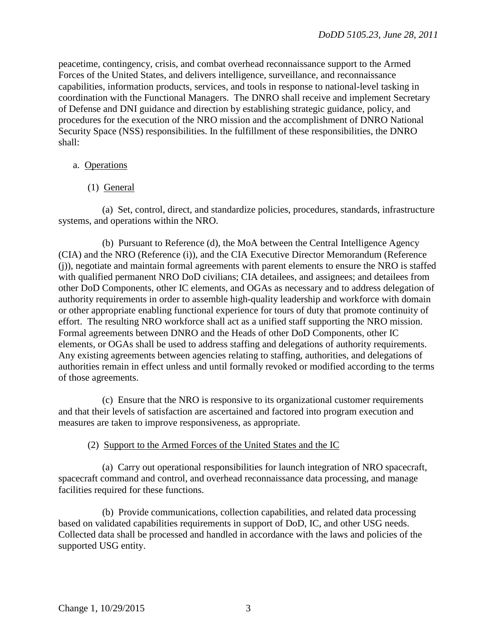peacetime, contingency, crisis, and combat overhead reconnaissance support to the Armed Forces of the United States, and delivers intelligence, surveillance, and reconnaissance capabilities, information products, services, and tools in response to national-level tasking in coordination with the Functional Managers. The DNRO shall receive and implement Secretary of Defense and DNI guidance and direction by establishing strategic guidance, policy, and procedures for the execution of the NRO mission and the accomplishment of DNRO National Security Space (NSS) responsibilities. In the fulfillment of these responsibilities, the DNRO shall:

## a. Operations

# (1) General

(a) Set, control, direct, and standardize policies, procedures, standards, infrastructure systems, and operations within the NRO.

(b) Pursuant to Reference (d), the MoA between the Central Intelligence Agency (CIA) and the NRO (Reference (i)), and the CIA Executive Director Memorandum (Reference (j)), negotiate and maintain formal agreements with parent elements to ensure the NRO is staffed with qualified permanent NRO DoD civilians; CIA detailees, and assignees; and detailees from other DoD Components, other IC elements, and OGAs as necessary and to address delegation of authority requirements in order to assemble high-quality leadership and workforce with domain or other appropriate enabling functional experience for tours of duty that promote continuity of effort. The resulting NRO workforce shall act as a unified staff supporting the NRO mission. Formal agreements between DNRO and the Heads of other DoD Components, other IC elements, or OGAs shall be used to address staffing and delegations of authority requirements. Any existing agreements between agencies relating to staffing, authorities, and delegations of authorities remain in effect unless and until formally revoked or modified according to the terms of those agreements.

(c) Ensure that the NRO is responsive to its organizational customer requirements and that their levels of satisfaction are ascertained and factored into program execution and measures are taken to improve responsiveness, as appropriate.

## (2) Support to the Armed Forces of the United States and the IC

(a) Carry out operational responsibilities for launch integration of NRO spacecraft, spacecraft command and control, and overhead reconnaissance data processing, and manage facilities required for these functions.

(b) Provide communications, collection capabilities, and related data processing based on validated capabilities requirements in support of DoD, IC, and other USG needs. Collected data shall be processed and handled in accordance with the laws and policies of the supported USG entity.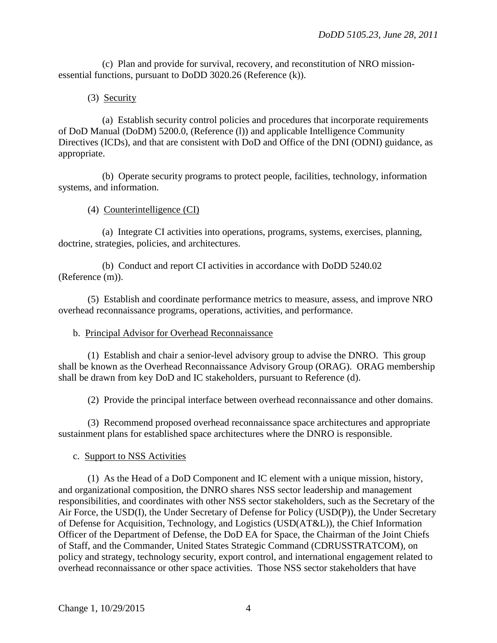(c) Plan and provide for survival, recovery, and reconstitution of NRO missionessential functions, pursuant to DoDD 3020.26 (Reference (k)).

## (3) Security

(a) Establish security control policies and procedures that incorporate requirements of DoD Manual (DoDM) 5200.0, (Reference (l)) and applicable Intelligence Community Directives (ICDs), and that are consistent with DoD and Office of the DNI (ODNI) guidance, as appropriate.

(b) Operate security programs to protect people, facilities, technology, information systems, and information.

## (4) Counterintelligence (CI)

(a) Integrate CI activities into operations, programs, systems, exercises, planning, doctrine, strategies, policies, and architectures.

(b) Conduct and report CI activities in accordance with DoDD 5240.02 (Reference (m)).

(5) Establish and coordinate performance metrics to measure, assess, and improve NRO overhead reconnaissance programs, operations, activities, and performance.

## b. Principal Advisor for Overhead Reconnaissance

(1) Establish and chair a senior-level advisory group to advise the DNRO. This group shall be known as the Overhead Reconnaissance Advisory Group (ORAG). ORAG membership shall be drawn from key DoD and IC stakeholders, pursuant to Reference (d).

(2) Provide the principal interface between overhead reconnaissance and other domains.

(3) Recommend proposed overhead reconnaissance space architectures and appropriate sustainment plans for established space architectures where the DNRO is responsible.

## c. Support to NSS Activities

(1) As the Head of a DoD Component and IC element with a unique mission, history, and organizational composition, the DNRO shares NSS sector leadership and management responsibilities, and coordinates with other NSS sector stakeholders, such as the Secretary of the Air Force, the USD(I), the Under Secretary of Defense for Policy (USD(P)), the Under Secretary of Defense for Acquisition, Technology, and Logistics (USD(AT&L)), the Chief Information Officer of the Department of Defense, the DoD EA for Space, the Chairman of the Joint Chiefs of Staff, and the Commander, United States Strategic Command (CDRUSSTRATCOM), on policy and strategy, technology security, export control, and international engagement related to overhead reconnaissance or other space activities. Those NSS sector stakeholders that have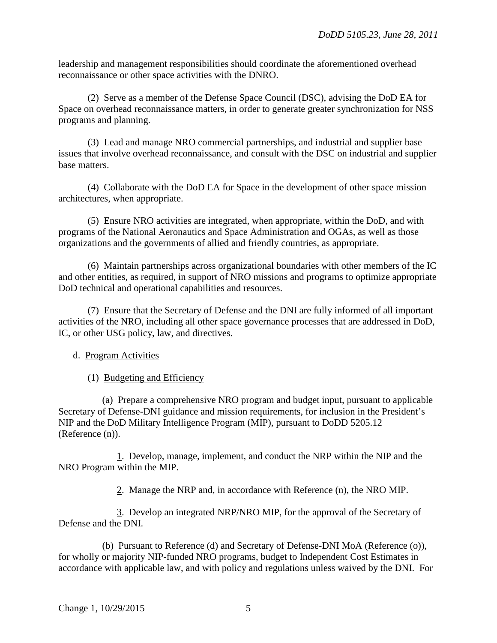leadership and management responsibilities should coordinate the aforementioned overhead reconnaissance or other space activities with the DNRO.

(2) Serve as a member of the Defense Space Council (DSC), advising the DoD EA for Space on overhead reconnaissance matters, in order to generate greater synchronization for NSS programs and planning.

(3) Lead and manage NRO commercial partnerships, and industrial and supplier base issues that involve overhead reconnaissance, and consult with the DSC on industrial and supplier base matters.

(4) Collaborate with the DoD EA for Space in the development of other space mission architectures, when appropriate.

(5) Ensure NRO activities are integrated, when appropriate, within the DoD, and with programs of the National Aeronautics and Space Administration and OGAs, as well as those organizations and the governments of allied and friendly countries, as appropriate.

(6) Maintain partnerships across organizational boundaries with other members of the IC and other entities, as required, in support of NRO missions and programs to optimize appropriate DoD technical and operational capabilities and resources.

(7) Ensure that the Secretary of Defense and the DNI are fully informed of all important activities of the NRO, including all other space governance processes that are addressed in DoD, IC, or other USG policy, law, and directives.

# d. Program Activities

(1) Budgeting and Efficiency

(a) Prepare a comprehensive NRO program and budget input, pursuant to applicable Secretary of Defense-DNI guidance and mission requirements, for inclusion in the President's NIP and the DoD Military Intelligence Program (MIP), pursuant to DoDD 5205.12 (Reference (n)).

1. Develop, manage, implement, and conduct the NRP within the NIP and the NRO Program within the MIP.

2. Manage the NRP and, in accordance with Reference (n), the NRO MIP.

3. Develop an integrated NRP/NRO MIP, for the approval of the Secretary of Defense and the DNI.

(b) Pursuant to Reference (d) and Secretary of Defense-DNI MoA (Reference (o)), for wholly or majority NIP-funded NRO programs, budget to Independent Cost Estimates in accordance with applicable law, and with policy and regulations unless waived by the DNI. For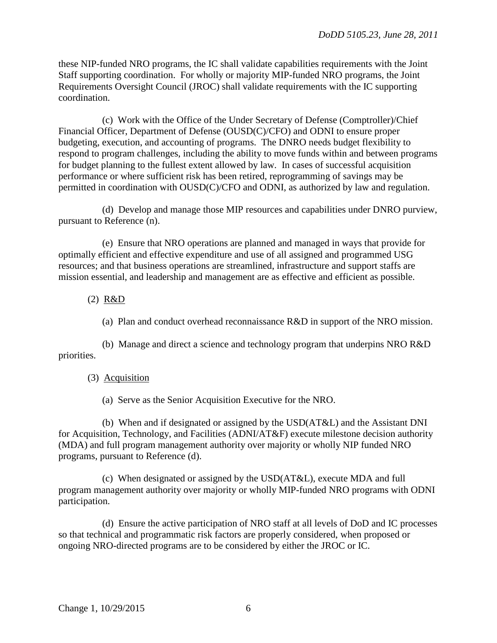these NIP-funded NRO programs, the IC shall validate capabilities requirements with the Joint Staff supporting coordination. For wholly or majority MIP-funded NRO programs, the Joint Requirements Oversight Council (JROC) shall validate requirements with the IC supporting coordination.

(c) Work with the Office of the Under Secretary of Defense (Comptroller)/Chief Financial Officer, Department of Defense (OUSD(C)/CFO) and ODNI to ensure proper budgeting, execution, and accounting of programs. The DNRO needs budget flexibility to respond to program challenges, including the ability to move funds within and between programs for budget planning to the fullest extent allowed by law. In cases of successful acquisition performance or where sufficient risk has been retired, reprogramming of savings may be permitted in coordination with OUSD(C)/CFO and ODNI, as authorized by law and regulation.

(d) Develop and manage those MIP resources and capabilities under DNRO purview, pursuant to Reference (n).

(e) Ensure that NRO operations are planned and managed in ways that provide for optimally efficient and effective expenditure and use of all assigned and programmed USG resources; and that business operations are streamlined, infrastructure and support staffs are mission essential, and leadership and management are as effective and efficient as possible.

(2) R&D

(a) Plan and conduct overhead reconnaissance R&D in support of the NRO mission.

(b) Manage and direct a science and technology program that underpins NRO R&D priorities.

## (3) Acquisition

(a) Serve as the Senior Acquisition Executive for the NRO.

(b) When and if designated or assigned by the USD(AT&L) and the Assistant DNI for Acquisition, Technology, and Facilities (ADNI/AT&F) execute milestone decision authority (MDA) and full program management authority over majority or wholly NIP funded NRO programs, pursuant to Reference (d).

(c) When designated or assigned by the USD(AT&L), execute MDA and full program management authority over majority or wholly MIP-funded NRO programs with ODNI participation.

(d) Ensure the active participation of NRO staff at all levels of DoD and IC processes so that technical and programmatic risk factors are properly considered, when proposed or ongoing NRO-directed programs are to be considered by either the JROC or IC.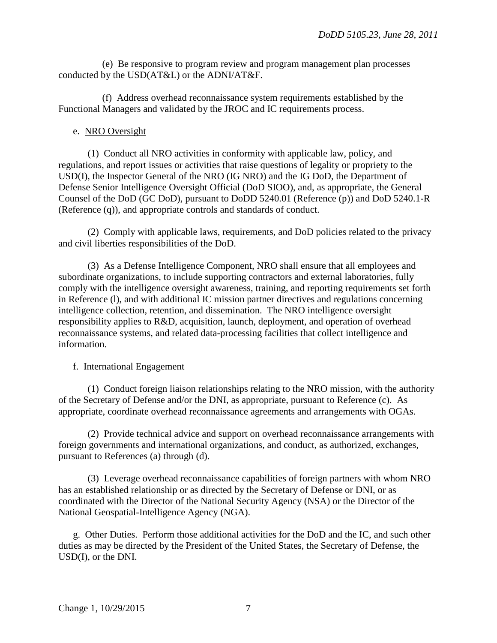(e) Be responsive to program review and program management plan processes conducted by the USD(AT&L) or the ADNI/AT&F.

(f) Address overhead reconnaissance system requirements established by the Functional Managers and validated by the JROC and IC requirements process.

## e. NRO Oversight

(1) Conduct all NRO activities in conformity with applicable law, policy, and regulations, and report issues or activities that raise questions of legality or propriety to the USD(I), the Inspector General of the NRO (IG NRO) and the IG DoD, the Department of Defense Senior Intelligence Oversight Official (DoD SIOO), and, as appropriate, the General Counsel of the DoD (GC DoD), pursuant to DoDD 5240.01 (Reference (p)) and DoD 5240.1-R (Reference (q)), and appropriate controls and standards of conduct.

(2) Comply with applicable laws, requirements, and DoD policies related to the privacy and civil liberties responsibilities of the DoD.

(3) As a Defense Intelligence Component, NRO shall ensure that all employees and subordinate organizations, to include supporting contractors and external laboratories, fully comply with the intelligence oversight awareness, training, and reporting requirements set forth in Reference (l), and with additional IC mission partner directives and regulations concerning intelligence collection, retention, and dissemination. The NRO intelligence oversight responsibility applies to R&D, acquisition, launch, deployment, and operation of overhead reconnaissance systems, and related data-processing facilities that collect intelligence and information.

## f. International Engagement

(1) Conduct foreign liaison relationships relating to the NRO mission, with the authority of the Secretary of Defense and/or the DNI, as appropriate, pursuant to Reference (c). As appropriate, coordinate overhead reconnaissance agreements and arrangements with OGAs.

(2) Provide technical advice and support on overhead reconnaissance arrangements with foreign governments and international organizations, and conduct, as authorized, exchanges, pursuant to References (a) through (d).

(3) Leverage overhead reconnaissance capabilities of foreign partners with whom NRO has an established relationship or as directed by the Secretary of Defense or DNI, or as coordinated with the Director of the National Security Agency (NSA) or the Director of the National Geospatial-Intelligence Agency (NGA).

g. Other Duties. Perform those additional activities for the DoD and the IC, and such other duties as may be directed by the President of the United States, the Secretary of Defense, the USD(I), or the DNI.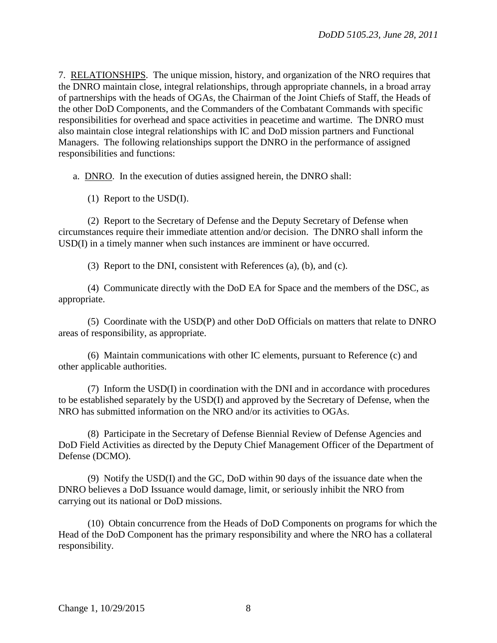7. RELATIONSHIPS. The unique mission, history, and organization of the NRO requires that the DNRO maintain close, integral relationships, through appropriate channels, in a broad array of partnerships with the heads of OGAs, the Chairman of the Joint Chiefs of Staff, the Heads of the other DoD Components, and the Commanders of the Combatant Commands with specific responsibilities for overhead and space activities in peacetime and wartime. The DNRO must also maintain close integral relationships with IC and DoD mission partners and Functional Managers. The following relationships support the DNRO in the performance of assigned responsibilities and functions:

a. DNRO. In the execution of duties assigned herein, the DNRO shall:

(1) Report to the USD(I).

(2) Report to the Secretary of Defense and the Deputy Secretary of Defense when circumstances require their immediate attention and/or decision. The DNRO shall inform the USD(I) in a timely manner when such instances are imminent or have occurred.

(3) Report to the DNI, consistent with References (a), (b), and (c).

(4) Communicate directly with the DoD EA for Space and the members of the DSC, as appropriate.

(5) Coordinate with the USD(P) and other DoD Officials on matters that relate to DNRO areas of responsibility, as appropriate.

(6) Maintain communications with other IC elements, pursuant to Reference (c) and other applicable authorities.

(7) Inform the USD(I) in coordination with the DNI and in accordance with procedures to be established separately by the USD(I) and approved by the Secretary of Defense, when the NRO has submitted information on the NRO and/or its activities to OGAs.

(8) Participate in the Secretary of Defense Biennial Review of Defense Agencies and DoD Field Activities as directed by the Deputy Chief Management Officer of the Department of Defense (DCMO).

(9) Notify the USD(I) and the GC, DoD within 90 days of the issuance date when the DNRO believes a DoD Issuance would damage, limit, or seriously inhibit the NRO from carrying out its national or DoD missions.

(10) Obtain concurrence from the Heads of DoD Components on programs for which the Head of the DoD Component has the primary responsibility and where the NRO has a collateral responsibility.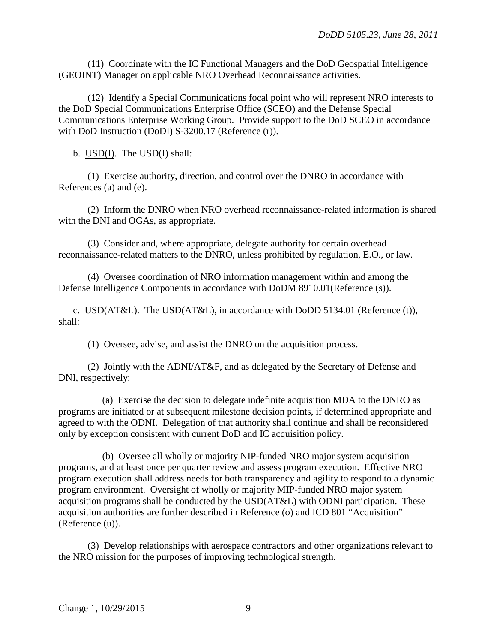(11) Coordinate with the IC Functional Managers and the DoD Geospatial Intelligence (GEOINT) Manager on applicable NRO Overhead Reconnaissance activities.

(12) Identify a Special Communications focal point who will represent NRO interests to the DoD Special Communications Enterprise Office (SCEO) and the Defense Special Communications Enterprise Working Group. Provide support to the DoD SCEO in accordance with DoD Instruction (DoDI) S-3200.17 (Reference (r)).

b. USD(I). The USD(I) shall:

(1) Exercise authority, direction, and control over the DNRO in accordance with References (a) and (e).

(2) Inform the DNRO when NRO overhead reconnaissance-related information is shared with the DNI and OGAs, as appropriate.

(3) Consider and, where appropriate, delegate authority for certain overhead reconnaissance-related matters to the DNRO, unless prohibited by regulation, E.O., or law.

(4) Oversee coordination of NRO information management within and among the Defense Intelligence Components in accordance with DoDM 8910.01(Reference (s)).

c. USD(AT&L). The USD(AT&L), in accordance with DoDD 5134.01 (Reference (t)), shall:

(1) Oversee, advise, and assist the DNRO on the acquisition process.

(2) Jointly with the ADNI/AT&F, and as delegated by the Secretary of Defense and DNI, respectively:

(a) Exercise the decision to delegate indefinite acquisition MDA to the DNRO as programs are initiated or at subsequent milestone decision points, if determined appropriate and agreed to with the ODNI. Delegation of that authority shall continue and shall be reconsidered only by exception consistent with current DoD and IC acquisition policy.

(b) Oversee all wholly or majority NIP-funded NRO major system acquisition programs, and at least once per quarter review and assess program execution. Effective NRO program execution shall address needs for both transparency and agility to respond to a dynamic program environment. Oversight of wholly or majority MIP-funded NRO major system acquisition programs shall be conducted by the USD(AT&L) with ODNI participation. These acquisition authorities are further described in Reference (o) and ICD 801 "Acquisition" (Reference (u)).

(3) Develop relationships with aerospace contractors and other organizations relevant to the NRO mission for the purposes of improving technological strength.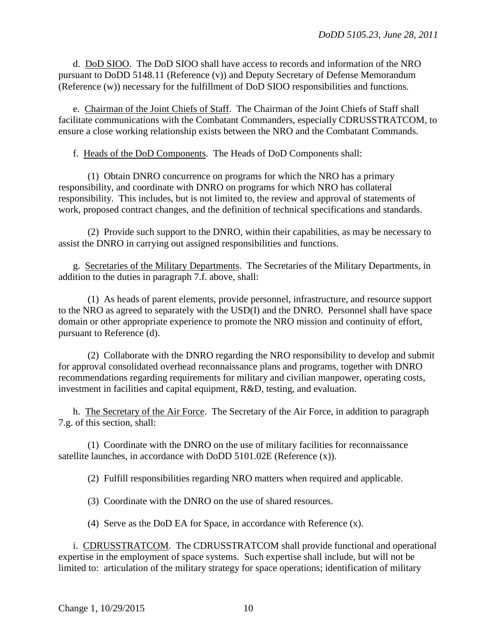d. DoD SIOO. The DoD SIOO shall have access to records and information of the NRO pursuant to DoDD 5148.11 (Reference (v)) and Deputy Secretary of Defense Memorandum (Reference (w)) necessary for the fulfillment of DoD SIOO responsibilities and functions.

e. Chairman of the Joint Chiefs of Staff. The Chairman of the Joint Chiefs of Staff shall facilitate communications with the Combatant Commanders, especially CDRUSSTRATCOM, to ensure a close working relationship exists between the NRO and the Combatant Commands.

f. Heads of the DoD Components. The Heads of DoD Components shall:

(1) Obtain DNRO concurrence on programs for which the NRO has a primary responsibility, and coordinate with DNRO on programs for which NRO has collateral responsibility. This includes, but is not limited to, the review and approval of statements of work, proposed contract changes, and the definition of technical specifications and standards.

(2) Provide such support to the DNRO, within their capabilities, as may be necessary to assist the DNRO in carrying out assigned responsibilities and functions.

g. Secretaries of the Military Departments. The Secretaries of the Military Departments, in addition to the duties in paragraph 7.f. above, shall:

(1) As heads of parent elements, provide personnel, infrastructure, and resource support to the NRO as agreed to separately with the USD(I) and the DNRO. Personnel shall have space domain or other appropriate experience to promote the NRO mission and continuity of effort, pursuant to Reference (d).

(2) Collaborate with the DNRO regarding the NRO responsibility to develop and submit for approval consolidated overhead reconnaissance plans and programs, together with DNRO recommendations regarding requirements for military and civilian manpower, operating costs, investment in facilities and capital equipment, R&D, testing, and evaluation.

h. The Secretary of the Air Force. The Secretary of the Air Force, in addition to paragraph 7.g. of this section, shall:

(1) Coordinate with the DNRO on the use of military facilities for reconnaissance satellite launches, in accordance with DoDD 5101.02E (Reference (x)).

(2) Fulfill responsibilities regarding NRO matters when required and applicable.

(3) Coordinate with the DNRO on the use of shared resources.

(4) Serve as the DoD EA for Space, in accordance with Reference (x).

i. CDRUSSTRATCOM. The CDRUSSTRATCOM shall provide functional and operational expertise in the employment of space systems. Such expertise shall include, but will not be limited to: articulation of the military strategy for space operations; identification of military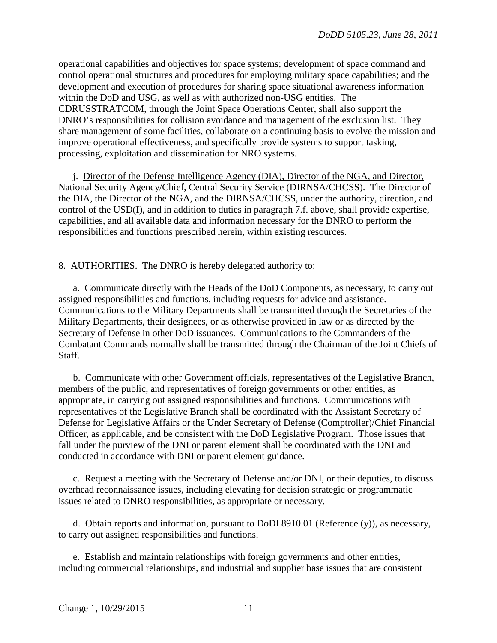operational capabilities and objectives for space systems; development of space command and control operational structures and procedures for employing military space capabilities; and the development and execution of procedures for sharing space situational awareness information within the DoD and USG, as well as with authorized non-USG entities. The CDRUSSTRATCOM, through the Joint Space Operations Center, shall also support the DNRO's responsibilities for collision avoidance and management of the exclusion list. They share management of some facilities, collaborate on a continuing basis to evolve the mission and improve operational effectiveness, and specifically provide systems to support tasking, processing, exploitation and dissemination for NRO systems.

j. Director of the Defense Intelligence Agency (DIA), Director of the NGA, and Director, National Security Agency/Chief, Central Security Service (DIRNSA/CHCSS). The Director of the DIA, the Director of the NGA, and the DIRNSA/CHCSS, under the authority, direction, and control of the USD(I), and in addition to duties in paragraph 7.f. above, shall provide expertise, capabilities, and all available data and information necessary for the DNRO to perform the responsibilities and functions prescribed herein, within existing resources.

8. AUTHORITIES. The DNRO is hereby delegated authority to:

a. Communicate directly with the Heads of the DoD Components, as necessary, to carry out assigned responsibilities and functions, including requests for advice and assistance. Communications to the Military Departments shall be transmitted through the Secretaries of the Military Departments, their designees, or as otherwise provided in law or as directed by the Secretary of Defense in other DoD issuances. Communications to the Commanders of the Combatant Commands normally shall be transmitted through the Chairman of the Joint Chiefs of Staff.

b. Communicate with other Government officials, representatives of the Legislative Branch, members of the public, and representatives of foreign governments or other entities, as appropriate, in carrying out assigned responsibilities and functions. Communications with representatives of the Legislative Branch shall be coordinated with the Assistant Secretary of Defense for Legislative Affairs or the Under Secretary of Defense (Comptroller)/Chief Financial Officer, as applicable, and be consistent with the DoD Legislative Program. Those issues that fall under the purview of the DNI or parent element shall be coordinated with the DNI and conducted in accordance with DNI or parent element guidance.

c. Request a meeting with the Secretary of Defense and/or DNI, or their deputies, to discuss overhead reconnaissance issues, including elevating for decision strategic or programmatic issues related to DNRO responsibilities, as appropriate or necessary.

d. Obtain reports and information, pursuant to DoDI 8910.01 (Reference (y)), as necessary, to carry out assigned responsibilities and functions.

e. Establish and maintain relationships with foreign governments and other entities, including commercial relationships, and industrial and supplier base issues that are consistent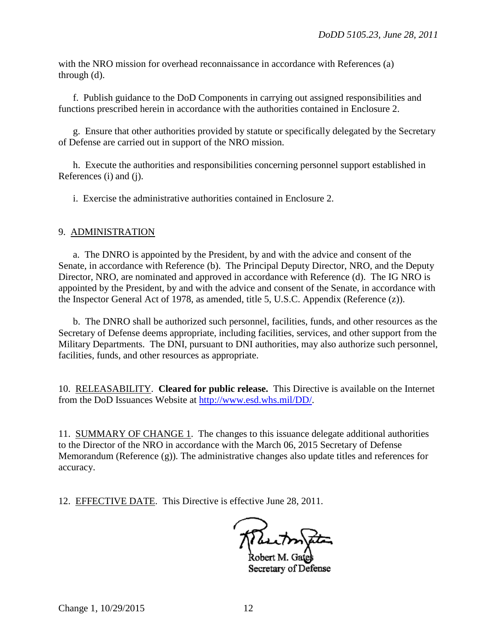with the NRO mission for overhead reconnaissance in accordance with References (a) through (d).

 f. Publish guidance to the DoD Components in carrying out assigned responsibilities and functions prescribed herein in accordance with the authorities contained in Enclosure 2.

 g. Ensure that other authorities provided by statute or specifically delegated by the Secretary of Defense are carried out in support of the NRO mission.

 h. Execute the authorities and responsibilities concerning personnel support established in References (i) and (i).

i. Exercise the administrative authorities contained in Enclosure 2.

## 9. ADMINISTRATION

a. The DNRO is appointed by the President, by and with the advice and consent of the Senate, in accordance with Reference (b). The Principal Deputy Director, NRO, and the Deputy Director, NRO, are nominated and approved in accordance with Reference (d). The IG NRO is appointed by the President, by and with the advice and consent of the Senate, in accordance with the Inspector General Act of 1978, as amended, title 5, U.S.C. Appendix (Reference (z)).

 b. The DNRO shall be authorized such personnel, facilities, funds, and other resources as the Secretary of Defense deems appropriate, including facilities, services, and other support from the Military Departments. The DNI, pursuant to DNI authorities, may also authorize such personnel, facilities, funds, and other resources as appropriate.

10. RELEASABILITY. **Cleared for public release.** This Directive is available on the Internet from the DoD Issuances Website at [http://www.esd.whs.mil/DD/.](http://www.esd.whs.mil/DD/)

11. SUMMARY OF CHANGE 1. The changes to this issuance delegate additional authorities to the Director of the NRO in accordance with the March 06, 2015 Secretary of Defense Memorandum (Reference (g)). The administrative changes also update titles and references for accuracy.

12. EFFECTIVE DATE. This Directive is effective June 28, 2011.

Secretary of Defense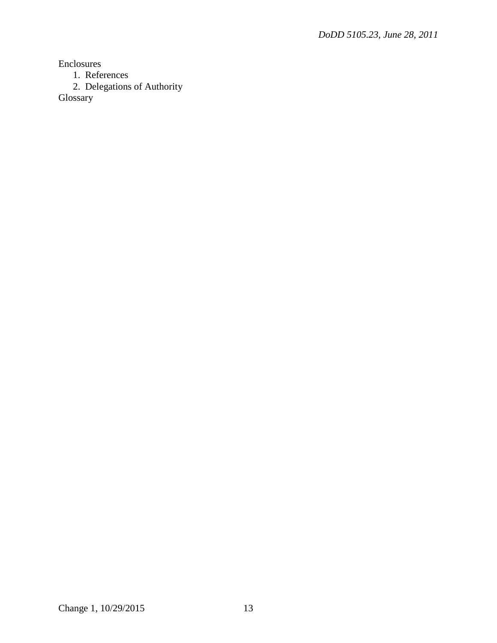Enclosures

1. References

2. Delegations of Authority

Glossary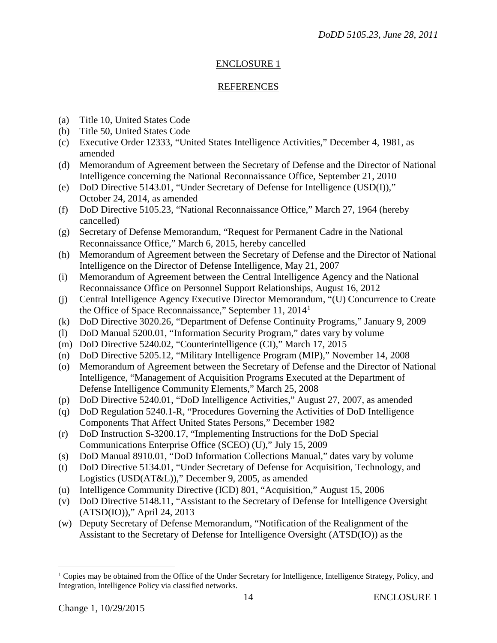# ENCLOSURE 1

# REFERENCES

- (a) Title 10, United States Code
- (b) Title 50, United States Code
- (c) Executive Order 12333, "United States Intelligence Activities," December 4, 1981, as amended
- (d) Memorandum of Agreement between the Secretary of Defense and the Director of National Intelligence concerning the National Reconnaissance Office, September 21, 2010
- (e) DoD Directive 5143.01, "Under Secretary of Defense for Intelligence (USD(I))," October 24, 2014, as amended
- (f) DoD Directive 5105.23, "National Reconnaissance Office," March 27, 1964 (hereby cancelled)
- (g) Secretary of Defense Memorandum, "Request for Permanent Cadre in the National Reconnaissance Office," March 6, 2015, hereby cancelled
- (h) Memorandum of Agreement between the Secretary of Defense and the Director of National Intelligence on the Director of Defense Intelligence, May 21, 2007
- (i) Memorandum of Agreement between the Central Intelligence Agency and the National Reconnaissance Office on Personnel Support Relationships, August 16, 2012
- (j) Central Intelligence Agency Executive Director Memorandum, "(U) Concurrence to Create the Office of Space Reconnaissance," September [1](#page-13-0)1, 2014<sup>1</sup>
- (k) DoD Directive 3020.26, "Department of Defense Continuity Programs," January 9, 2009
- (l) DoD Manual 5200.01, "Information Security Program," dates vary by volume
- (m) DoD Directive 5240.02, "Counterintelligence (CI)," March 17, 2015
- (n) DoD Directive 5205.12, "Military Intelligence Program (MIP)," November 14, 2008
- (o) Memorandum of Agreement between the Secretary of Defense and the Director of National Intelligence, "Management of Acquisition Programs Executed at the Department of Defense Intelligence Community Elements," March 25, 2008
- (p) DoD Directive 5240.01, "DoD Intelligence Activities," August 27, 2007, as amended
- (q) DoD Regulation 5240.1-R, "Procedures Governing the Activities of DoD Intelligence Components That Affect United States Persons," December 1982
- (r) DoD Instruction S-3200.17, "Implementing Instructions for the DoD Special Communications Enterprise Office (SCEO) (U)," July 15, 2009
- (s) DoD Manual 8910.01, "DoD Information Collections Manual," dates vary by volume
- (t) DoD Directive 5134.01, "Under Secretary of Defense for Acquisition, Technology, and Logistics (USD(AT&L))," December 9, 2005, as amended
- (u) Intelligence Community Directive (ICD) 801, "Acquisition," August 15, 2006
- (v) DoD Directive 5148.11, "Assistant to the Secretary of Defense for Intelligence Oversight (ATSD(IO))," April 24, 2013
- (w) Deputy Secretary of Defense Memorandum, "Notification of the Realignment of the Assistant to the Secretary of Defense for Intelligence Oversight (ATSD(IO)) as the

<span id="page-13-0"></span><sup>&</sup>lt;sup>1</sup> Copies may be obtained from the Office of the Under Secretary for Intelligence, Intelligence Strategy, Policy, and Integration, Intelligence Policy via classified networks.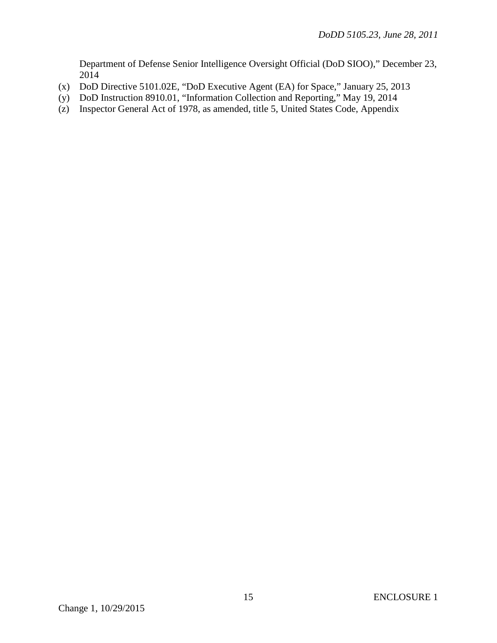Department of Defense Senior Intelligence Oversight Official (DoD SIOO)," December 23, 2014

- (x) DoD Directive 5101.02E, "DoD Executive Agent (EA) for Space," January 25, 2013
- (y) DoD Instruction 8910.01, "Information Collection and Reporting," May 19, 2014
- (z) Inspector General Act of 1978, as amended, title 5, United States Code, Appendix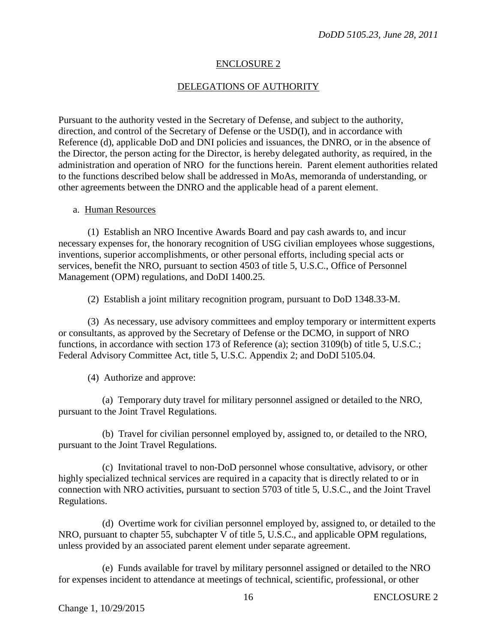# ENCLOSURE 2

# DELEGATIONS OF AUTHORITY

Pursuant to the authority vested in the Secretary of Defense, and subject to the authority, direction, and control of the Secretary of Defense or the USD(I), and in accordance with Reference (d), applicable DoD and DNI policies and issuances, the DNRO, or in the absence of the Director, the person acting for the Director, is hereby delegated authority, as required, in the administration and operation of NRO for the functions herein. Parent element authorities related to the functions described below shall be addressed in MoAs, memoranda of understanding, or other agreements between the DNRO and the applicable head of a parent element.

## a. Human Resources

(1) Establish an NRO Incentive Awards Board and pay cash awards to, and incur necessary expenses for, the honorary recognition of USG civilian employees whose suggestions, inventions, superior accomplishments, or other personal efforts, including special acts or services, benefit the NRO, pursuant to section 4503 of title 5, U.S.C., Office of Personnel Management (OPM) regulations, and DoDI 1400.25.

(2) Establish a joint military recognition program, pursuant to DoD 1348.33-M.

(3) As necessary, use advisory committees and employ temporary or intermittent experts or consultants, as approved by the Secretary of Defense or the DCMO, in support of NRO functions, in accordance with section 173 of Reference (a); section 3109(b) of title 5, U.S.C.; Federal Advisory Committee Act, title 5, U.S.C. Appendix 2; and DoDI 5105.04.

(4) Authorize and approve:

(a) Temporary duty travel for military personnel assigned or detailed to the NRO, pursuant to the Joint Travel Regulations.

(b) Travel for civilian personnel employed by, assigned to, or detailed to the NRO, pursuant to the Joint Travel Regulations.

(c) Invitational travel to non-DoD personnel whose consultative, advisory, or other highly specialized technical services are required in a capacity that is directly related to or in connection with NRO activities, pursuant to section 5703 of title 5, U.S.C., and the Joint Travel Regulations.

(d) Overtime work for civilian personnel employed by, assigned to, or detailed to the NRO, pursuant to chapter 55, subchapter V of title 5, U.S.C., and applicable OPM regulations, unless provided by an associated parent element under separate agreement.

(e) Funds available for travel by military personnel assigned or detailed to the NRO for expenses incident to attendance at meetings of technical, scientific, professional, or other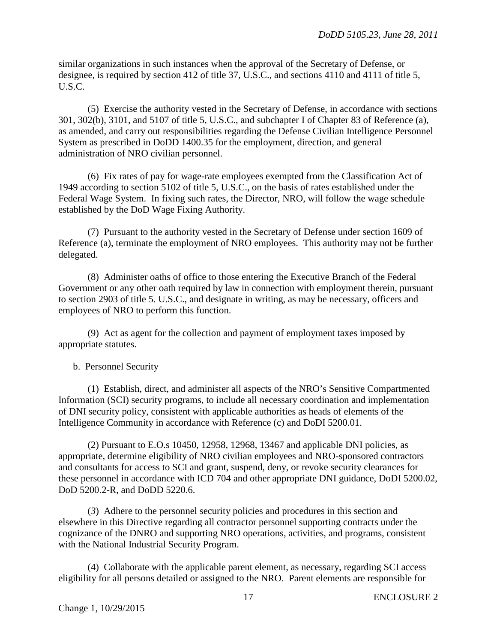similar organizations in such instances when the approval of the Secretary of Defense, or designee, is required by section 412 of title 37, U.S.C., and sections 4110 and 4111 of title 5, U.S.C.

(5) Exercise the authority vested in the Secretary of Defense, in accordance with sections 301, 302(b), 3101, and 5107 of title 5, U.S.C., and subchapter I of Chapter 83 of Reference (a), as amended, and carry out responsibilities regarding the Defense Civilian Intelligence Personnel System as prescribed in DoDD 1400.35 for the employment, direction, and general administration of NRO civilian personnel.

(6) Fix rates of pay for wage-rate employees exempted from the Classification Act of 1949 according to section 5102 of title 5, U.S.C., on the basis of rates established under the Federal Wage System. In fixing such rates, the Director, NRO, will follow the wage schedule established by the DoD Wage Fixing Authority.

(7) Pursuant to the authority vested in the Secretary of Defense under section 1609 of Reference (a), terminate the employment of NRO employees. This authority may not be further delegated.

(8) Administer oaths of office to those entering the Executive Branch of the Federal Government or any other oath required by law in connection with employment therein, pursuant to section 2903 of title 5. U.S.C., and designate in writing, as may be necessary, officers and employees of NRO to perform this function.

(9) Act as agent for the collection and payment of employment taxes imposed by appropriate statutes.

# b. Personnel Security

(1) Establish, direct, and administer all aspects of the NRO's Sensitive Compartmented Information (SCI) security programs, to include all necessary coordination and implementation of DNI security policy, consistent with applicable authorities as heads of elements of the Intelligence Community in accordance with Reference (c) and DoDI 5200.01.

(2) Pursuant to E.O.s 10450, 12958, 12968, 13467 and applicable DNI policies, as appropriate, determine eligibility of NRO civilian employees and NRO-sponsored contractors and consultants for access to SCI and grant, suspend, deny, or revoke security clearances for these personnel in accordance with ICD 704 and other appropriate DNI guidance, DoDI 5200.02, DoD 5200.2-R, and DoDD 5220.6.

(*3*) Adhere to the personnel security policies and procedures in this section and elsewhere in this Directive regarding all contractor personnel supporting contracts under the cognizance of the DNRO and supporting NRO operations, activities, and programs, consistent with the National Industrial Security Program.

(4) Collaborate with the applicable parent element, as necessary, regarding SCI access eligibility for all persons detailed or assigned to the NRO. Parent elements are responsible for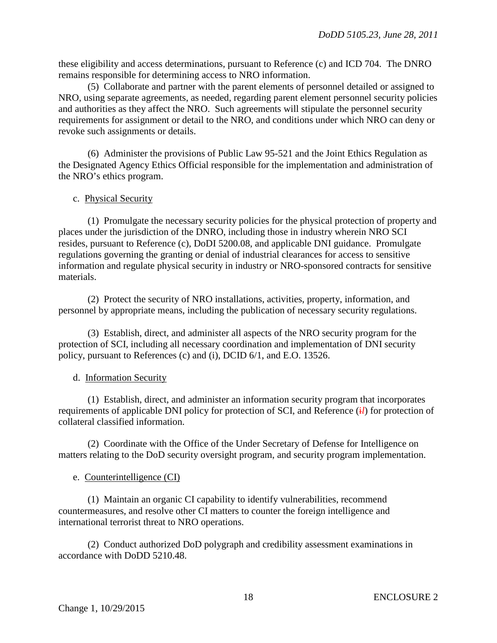these eligibility and access determinations, pursuant to Reference (c) and ICD 704. The DNRO remains responsible for determining access to NRO information.

(5) Collaborate and partner with the parent elements of personnel detailed or assigned to NRO, using separate agreements, as needed, regarding parent element personnel security policies and authorities as they affect the NRO. Such agreements will stipulate the personnel security requirements for assignment or detail to the NRO, and conditions under which NRO can deny or revoke such assignments or details.

(6) Administer the provisions of Public Law 95-521 and the Joint Ethics Regulation as the Designated Agency Ethics Official responsible for the implementation and administration of the NRO's ethics program.

## c. Physical Security

(1) Promulgate the necessary security policies for the physical protection of property and places under the jurisdiction of the DNRO, including those in industry wherein NRO SCI resides, pursuant to Reference (c), DoDI 5200.08, and applicable DNI guidance. Promulgate regulations governing the granting or denial of industrial clearances for access to sensitive information and regulate physical security in industry or NRO-sponsored contracts for sensitive materials.

(2) Protect the security of NRO installations, activities, property, information, and personnel by appropriate means, including the publication of necessary security regulations.

(3) Establish, direct, and administer all aspects of the NRO security program for the protection of SCI, including all necessary coordination and implementation of DNI security policy, pursuant to References (c) and (i), DCID 6/1, and E.O. 13526.

## d. Information Security

(1) Establish, direct, and administer an information security program that incorporates requirements of applicable DNI policy for protection of SCI, and Reference (i) for protection of collateral classified information.

(2) Coordinate with the Office of the Under Secretary of Defense for Intelligence on matters relating to the DoD security oversight program, and security program implementation.

## e. Counterintelligence (CI)

(1) Maintain an organic CI capability to identify vulnerabilities, recommend countermeasures, and resolve other CI matters to counter the foreign intelligence and international terrorist threat to NRO operations.

(2) Conduct authorized DoD polygraph and credibility assessment examinations in accordance with DoDD 5210.48.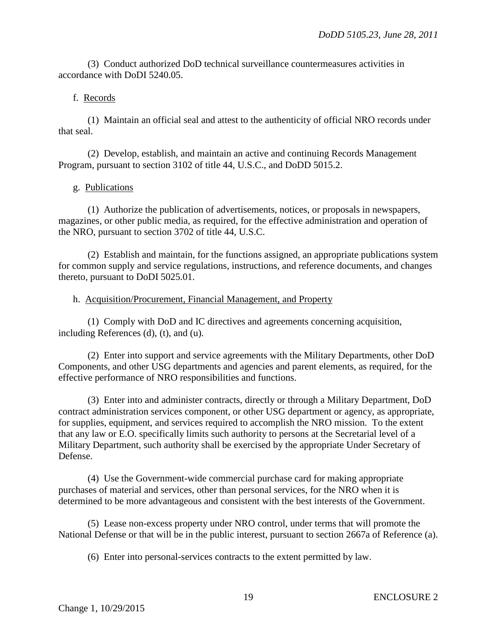(3) Conduct authorized DoD technical surveillance countermeasures activities in accordance with DoDI 5240.05.

## f. Records

(1) Maintain an official seal and attest to the authenticity of official NRO records under that seal.

(2) Develop, establish, and maintain an active and continuing Records Management Program, pursuant to section 3102 of title 44, U.S.C., and DoDD 5015.2.

## g. Publications

(1) Authorize the publication of advertisements, notices, or proposals in newspapers, magazines, or other public media, as required, for the effective administration and operation of the NRO, pursuant to section 3702 of title 44, U.S.C.

(2) Establish and maintain, for the functions assigned, an appropriate publications system for common supply and service regulations, instructions, and reference documents, and changes thereto, pursuant to DoDI 5025.01.

## h. Acquisition/Procurement, Financial Management, and Property

(1) Comply with DoD and IC directives and agreements concerning acquisition, including References (d), (t), and (u).

(2) Enter into support and service agreements with the Military Departments, other DoD Components, and other USG departments and agencies and parent elements, as required, for the effective performance of NRO responsibilities and functions.

(3) Enter into and administer contracts, directly or through a Military Department, DoD contract administration services component, or other USG department or agency, as appropriate, for supplies, equipment, and services required to accomplish the NRO mission. To the extent that any law or E.O. specifically limits such authority to persons at the Secretarial level of a Military Department, such authority shall be exercised by the appropriate Under Secretary of Defense.

(4) Use the Government-wide commercial purchase card for making appropriate purchases of material and services, other than personal services, for the NRO when it is determined to be more advantageous and consistent with the best interests of the Government.

(5) Lease non-excess property under NRO control, under terms that will promote the National Defense or that will be in the public interest, pursuant to section 2667a of Reference (a).

(6) Enter into personal-services contracts to the extent permitted by law.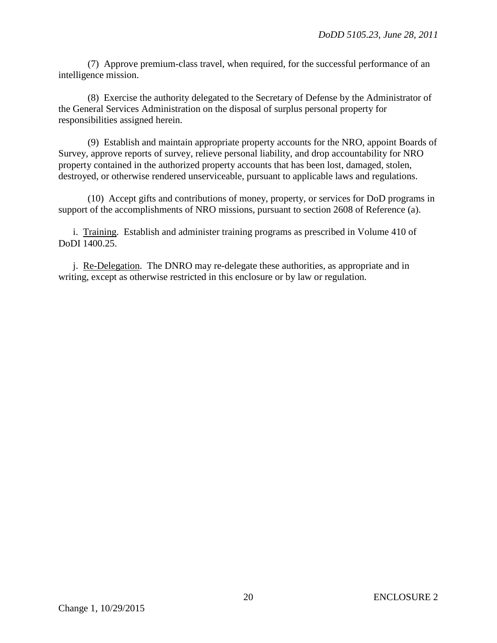(7) Approve premium-class travel, when required, for the successful performance of an intelligence mission.

(8) Exercise the authority delegated to the Secretary of Defense by the Administrator of the General Services Administration on the disposal of surplus personal property for responsibilities assigned herein.

(9) Establish and maintain appropriate property accounts for the NRO, appoint Boards of Survey, approve reports of survey, relieve personal liability, and drop accountability for NRO property contained in the authorized property accounts that has been lost, damaged, stolen, destroyed, or otherwise rendered unserviceable, pursuant to applicable laws and regulations.

(10) Accept gifts and contributions of money, property, or services for DoD programs in support of the accomplishments of NRO missions, pursuant to section 2608 of Reference (a).

i. Training. Establish and administer training programs as prescribed in Volume 410 of DoDI 1400.25.

j. Re-Delegation. The DNRO may re-delegate these authorities, as appropriate and in writing, except as otherwise restricted in this enclosure or by law or regulation.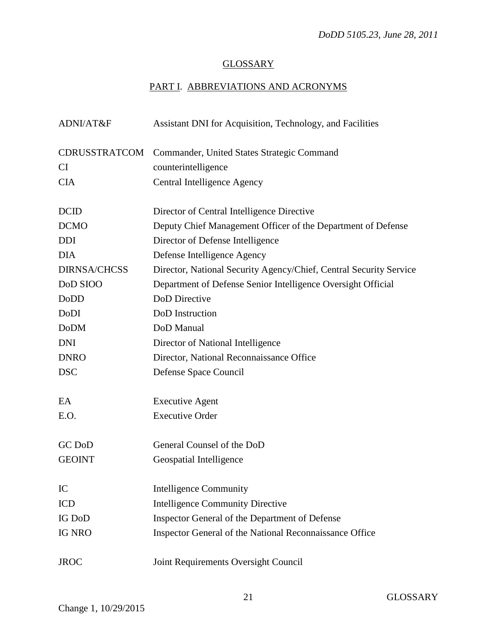# **GLOSSARY**

# PART I. ABBREVIATIONS AND ACRONYMS

| ADNI/AT&F           | Assistant DNI for Acquisition, Technology, and Facilities          |
|---------------------|--------------------------------------------------------------------|
| CDRUSSTRATCOM       | Commander, United States Strategic Command                         |
| CI                  | counterintelligence                                                |
| <b>CIA</b>          | Central Intelligence Agency                                        |
| <b>DCID</b>         | Director of Central Intelligence Directive                         |
| <b>DCMO</b>         | Deputy Chief Management Officer of the Department of Defense       |
| <b>DDI</b>          | Director of Defense Intelligence                                   |
| <b>DIA</b>          | Defense Intelligence Agency                                        |
| <b>DIRNSA/CHCSS</b> | Director, National Security Agency/Chief, Central Security Service |
| DoD SIOO            | Department of Defense Senior Intelligence Oversight Official       |
| DoDD                | DoD Directive                                                      |
| DoDI                | DoD Instruction                                                    |
| <b>DoDM</b>         | DoD Manual                                                         |
| <b>DNI</b>          | Director of National Intelligence                                  |
| <b>DNRO</b>         | Director, National Reconnaissance Office                           |
| <b>DSC</b>          | Defense Space Council                                              |
| EA                  | <b>Executive Agent</b>                                             |
| E.O.                | <b>Executive Order</b>                                             |
| GC DoD              | General Counsel of the DoD                                         |
| <b>GEOINT</b>       | Geospatial Intelligence                                            |
| IC                  | <b>Intelligence Community</b>                                      |
| <b>ICD</b>          | <b>Intelligence Community Directive</b>                            |
| IG DoD              | Inspector General of the Department of Defense                     |
| <b>IG NRO</b>       | Inspector General of the National Reconnaissance Office            |
| <b>JROC</b>         | Joint Requirements Oversight Council                               |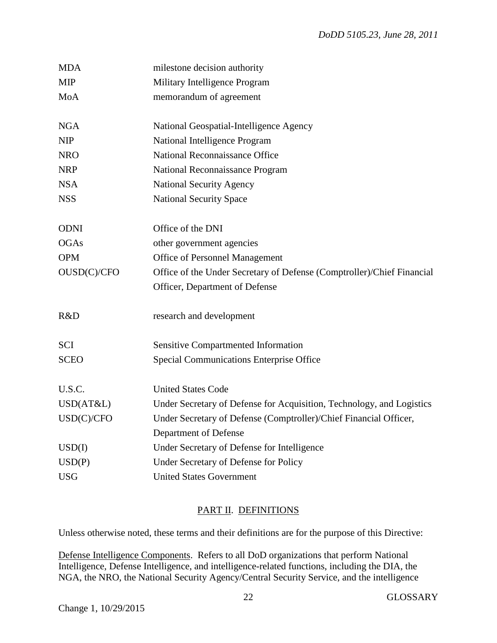| <b>MDA</b>  | milestone decision authority                                                               |
|-------------|--------------------------------------------------------------------------------------------|
| <b>MIP</b>  | Military Intelligence Program                                                              |
| MoA         | memorandum of agreement                                                                    |
|             |                                                                                            |
| <b>NGA</b>  | National Geospatial-Intelligence Agency                                                    |
| <b>NIP</b>  | National Intelligence Program                                                              |
| <b>NRO</b>  | National Reconnaissance Office                                                             |
| <b>NRP</b>  | National Reconnaissance Program                                                            |
| <b>NSA</b>  | <b>National Security Agency</b>                                                            |
| <b>NSS</b>  | <b>National Security Space</b>                                                             |
|             |                                                                                            |
| <b>ODNI</b> | Office of the DNI                                                                          |
| <b>OGAs</b> | other government agencies                                                                  |
| <b>OPM</b>  | <b>Office of Personnel Management</b>                                                      |
| OUSD(C)/CFO | Office of the Under Secretary of Defense (Comptroller)/Chief Financial                     |
|             | Officer, Department of Defense                                                             |
| R&D         | research and development                                                                   |
| <b>SCI</b>  | Sensitive Compartmented Information                                                        |
| <b>SCEO</b> | Special Communications Enterprise Office                                                   |
| U.S.C.      | <b>United States Code</b>                                                                  |
| USD(AT&L)   | Under Secretary of Defense for Acquisition, Technology, and Logistics                      |
| USD(C)/CFO  |                                                                                            |
|             | Under Secretary of Defense (Comptroller)/Chief Financial Officer,<br>Department of Defense |
| USD(I)      | Under Secretary of Defense for Intelligence                                                |
| USD(P)      | Under Secretary of Defense for Policy                                                      |
| <b>USG</b>  | <b>United States Government</b>                                                            |
|             |                                                                                            |

# PART II. DEFINITIONS

Unless otherwise noted, these terms and their definitions are for the purpose of this Directive:

Defense Intelligence Components. Refers to all DoD organizations that perform National Intelligence, Defense Intelligence, and intelligence-related functions, including the DIA, the NGA, the NRO, the National Security Agency/Central Security Service, and the intelligence